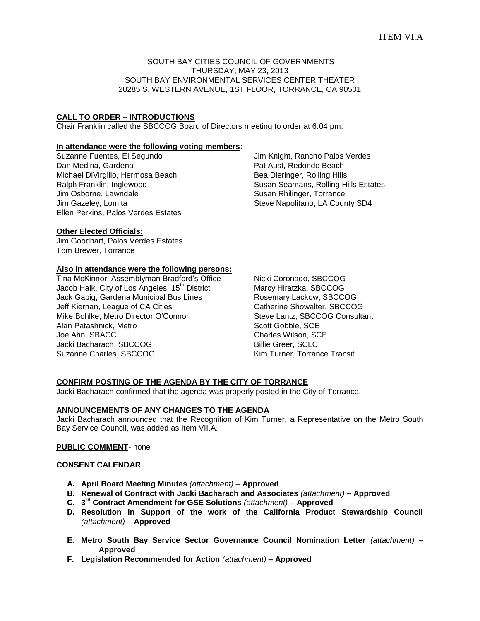# SOUTH BAY CITIES COUNCIL OF GOVERNMENTS THURSDAY, MAY 23, 2013 SOUTH BAY ENVIRONMENTAL SERVICES CENTER THEATER 20285 S. WESTERN AVENUE, 1ST FLOOR, TORRANCE, CA 90501

## **CALL TO ORDER – INTRODUCTIONS**

Chair Franklin called the SBCCOG Board of Directors meeting to order at 6:04 pm.

#### **In attendance were the following voting members:**

Suzanne Fuentes, El Segundo Dan Medina, Gardena Michael DiVirgilio, Hermosa Beach Ralph Franklin, Inglewood Jim Osborne, Lawndale Jim Gazeley, Lomita Ellen Perkins, Palos Verdes Estates Jim Knight, Rancho Palos Verdes Pat Aust, Redondo Beach Bea Dieringer, Rolling Hills Susan Seamans, Rolling Hills Estates Susan Rhilinger, Torrance Steve Napolitano, LA County SD4

# **Other Elected Officials:**

Jim Goodhart, Palos Verdes Estates Tom Brewer, Torrance

### **Also in attendance were the following persons:**

Tina McKinnor, Assemblyman Bradford's Office Jacob Haik, City of Los Angeles, 15<sup>th</sup> District Jack Gabig, Gardena Municipal Bus Lines Jeff Kiernan, League of CA Cities Mike Bohlke, Metro Director O'Connor Alan Patashnick, Metro Joe Ahn, SBACC Jacki Bacharach, SBCCOG Suzanne Charles, SBCCOG

Nicki Coronado, SBCCOG Marcy Hiratzka, SBCCOG Rosemary Lackow, SBCCOG Catherine Showalter, SBCCOG Steve Lantz, SBCCOG Consultant Scott Gobble, SCE Charles Wilson, SCE Billie Greer, SCLC Kim Turner, Torrance Transit

# **CONFIRM POSTING OF THE AGENDA BY THE CITY OF TORRANCE**

Jacki Bacharach confirmed that the agenda was properly posted in the City of Torrance.

# **ANNOUNCEMENTS OF ANY CHANGES TO THE AGENDA**

Jacki Bacharach announced that the Recognition of Kim Turner, a Representative on the Metro South Bay Service Council, was added as Item VII.A.

### **PUBLIC COMMENT**- none

### **CONSENT CALENDAR**

- **A. April Board Meeting Minutes** *(attachment) –* **Approved**
- **B. Renewal of Contract with Jacki Bacharach and Associates** *(attachment)* **– Approved**
- **C. 3 rd Contract Amendment for GSE Solutions** *(attachment)* **– Approved**
- **D. Resolution in Support of the work of the California Product Stewardship Council**  *(attachment)* **– Approved**
- **E. Metro South Bay Service Sector Governance Council Nomination Letter** *(attachment)* **– Approved**
- **F. Legislation Recommended for Action** *(attachment)* **– Approved**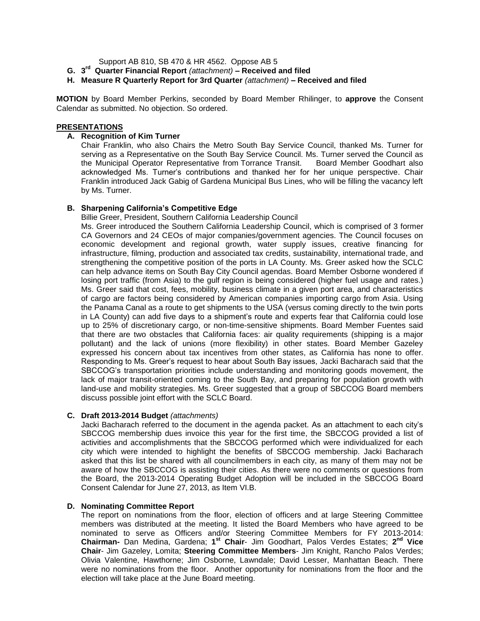Support AB 810, SB 470 & HR 4562. Oppose AB 5

**G. 3 rd Quarter Financial Report** *(attachment)* **– Received and filed**

**H. Measure R Quarterly Report for 3rd Quarter** *(attachment)* **– Received and filed**

**MOTION** by Board Member Perkins, seconded by Board Member Rhilinger, to **approve** the Consent Calendar as submitted. No objection. So ordered.

### **PRESENTATIONS**

### **A. Recognition of Kim Turner**

Chair Franklin, who also Chairs the Metro South Bay Service Council, thanked Ms. Turner for serving as a Representative on the South Bay Service Council. Ms. Turner served the Council as the Municipal Operator Representative from Torrance Transit. Board Member Goodhart also acknowledged Ms. Turner's contributions and thanked her for her unique perspective. Chair Franklin introduced Jack Gabig of Gardena Municipal Bus Lines, who will be filling the vacancy left by Ms. Turner.

#### **B. Sharpening California's Competitive Edge**

Billie Greer, President, Southern California Leadership Council

Ms. Greer introduced the Southern California Leadership Council, which is comprised of 3 former CA Governors and 24 CEOs of major companies/government agencies. The Council focuses on economic development and regional growth, water supply issues, creative financing for infrastructure, filming, production and associated tax credits, sustainability, international trade, and strengthening the competitive position of the ports in LA County. Ms. Greer asked how the SCLC can help advance items on South Bay City Council agendas. Board Member Osborne wondered if losing port traffic (from Asia) to the gulf region is being considered (higher fuel usage and rates.) Ms. Greer said that cost, fees, mobility, business climate in a given port area, and characteristics of cargo are factors being considered by American companies importing cargo from Asia. Using the Panama Canal as a route to get shipments to the USA (versus coming directly to the twin ports in LA County) can add five days to a shipment's route and experts fear that California could lose up to 25% of discretionary cargo, or non-time-sensitive shipments. Board Member Fuentes said that there are two obstacles that California faces: air quality requirements (shipping is a major pollutant) and the lack of unions (more flexibility) in other states. Board Member Gazeley expressed his concern about tax incentives from other states, as California has none to offer. Responding to Ms. Greer's request to hear about South Bay issues, Jacki Bacharach said that the SBCCOG's transportation priorities include understanding and monitoring goods movement, the lack of major transit-oriented coming to the South Bay, and preparing for population growth with land-use and mobility strategies. Ms. Greer suggested that a group of SBCCOG Board members discuss possible joint effort with the SCLC Board.

### **C. Draft 2013-2014 Budget** *(attachments)*

Jacki Bacharach referred to the document in the agenda packet. As an attachment to each city's SBCCOG membership dues invoice this year for the first time, the SBCCOG provided a list of activities and accomplishments that the SBCCOG performed which were individualized for each city which were intended to highlight the benefits of SBCCOG membership. Jacki Bacharach asked that this list be shared with all councilmembers in each city, as many of them may not be aware of how the SBCCOG is assisting their cities. As there were no comments or questions from the Board, the 2013-2014 Operating Budget Adoption will be included in the SBCCOG Board Consent Calendar for June 27, 2013, as Item VI.B.

# **D. Nominating Committee Report**

The report on nominations from the floor, election of officers and at large Steering Committee members was distributed at the meeting. It listed the Board Members who have agreed to be nominated to serve as Officers and/or Steering Committee Members for FY 2013-2014: **Chairman-** Dan Medina, Gardena; **1 st Chair**- Jim Goodhart, Palos Verdes Estates; **2 nd Vice Chair**- Jim Gazeley, Lomita; **Steering Committee Members**- Jim Knight, Rancho Palos Verdes; Olivia Valentine, Hawthorne; Jim Osborne, Lawndale; David Lesser, Manhattan Beach. There were no nominations from the floor. Another opportunity for nominations from the floor and the election will take place at the June Board meeting.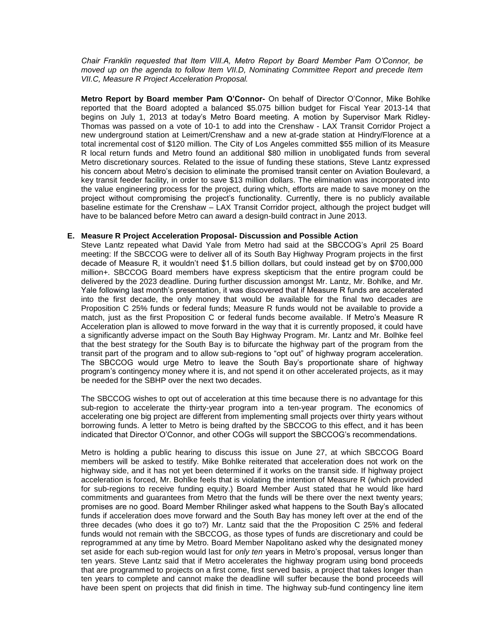*Chair Franklin requested that Item VIII.A, Metro Report by Board Member Pam O'Connor, be moved up on the agenda to follow Item VII.D, Nominating Committee Report and precede Item VII.C, Measure R Project Acceleration Proposal.* 

**Metro Report by Board member Pam O'Connor-** On behalf of Director O'Connor, Mike Bohlke reported that the Board adopted a balanced \$5.075 billion budget for Fiscal Year 2013-14 that begins on July 1, 2013 at today's Metro Board meeting. A motion by Supervisor Mark Ridley-Thomas was passed on a vote of 10-1 to add into the Crenshaw - LAX Transit Corridor Project a new underground station at Leimert/Crenshaw and a new at-grade station at Hindry/Florence at a total incremental cost of \$120 million. The City of Los Angeles committed \$55 million of its Measure R local return funds and Metro found an additional \$80 million in unobligated funds from several Metro discretionary sources. Related to the issue of funding these stations, Steve Lantz expressed his concern about Metro's decision to eliminate the promised transit center on Aviation Boulevard, a key transit feeder facility, in order to save \$13 million dollars. The elimination was incorporated into the value engineering process for the project, during which, efforts are made to save money on the project without compromising the project's functionality. Currently, there is no publicly available baseline estimate for the Crenshaw – LAX Transit Corridor project, although the project budget will have to be balanced before Metro can award a design-build contract in June 2013.

#### **E. Measure R Project Acceleration Proposal- Discussion and Possible Action**

Steve Lantz repeated what David Yale from Metro had said at the SBCCOG's April 25 Board meeting: If the SBCCOG were to deliver all of its South Bay Highway Program projects in the first decade of Measure R, it wouldn't need \$1.5 billion dollars, but could instead get by on \$700,000 million+. SBCCOG Board members have express skepticism that the entire program could be delivered by the 2023 deadline. During further discussion amongst Mr. Lantz, Mr. Bohlke, and Mr. Yale following last month's presentation, it was discovered that if Measure R funds are accelerated into the first decade, the only money that would be available for the final two decades are Proposition C 25% funds or federal funds; Measure R funds would not be available to provide a match, just as the first Proposition C or federal funds become available. If Metro's Measure R Acceleration plan is allowed to move forward in the way that it is currently proposed, it could have a significantly adverse impact on the South Bay Highway Program. Mr. Lantz and Mr. Bolhke feel that the best strategy for the South Bay is to bifurcate the highway part of the program from the transit part of the program and to allow sub-regions to "opt out" of highway program acceleration. The SBCCOG would urge Metro to leave the South Bay's proportionate share of highway program's contingency money where it is, and not spend it on other accelerated projects, as it may be needed for the SBHP over the next two decades.

The SBCCOG wishes to opt out of acceleration at this time because there is no advantage for this sub-region to accelerate the thirty-year program into a ten-year program. The economics of accelerating one big project are different from implementing small projects over thirty years without borrowing funds. A letter to Metro is being drafted by the SBCCOG to this effect, and it has been indicated that Director O'Connor, and other COGs will support the SBCCOG's recommendations.

Metro is holding a public hearing to discuss this issue on June 27, at which SBCCOG Board members will be asked to testify. Mike Bohlke reiterated that acceleration does not work on the highway side, and it has not yet been determined if it works on the transit side. If highway project acceleration is forced, Mr. Bohlke feels that is violating the intention of Measure R (which provided for sub-regions to receive funding equity.) Board Member Aust stated that he would like hard commitments and guarantees from Metro that the funds will be there over the next twenty years; promises are no good. Board Member Rhilinger asked what happens to the South Bay's allocated funds if acceleration does move forward and the South Bay has money left over at the end of the three decades (who does it go to?) Mr. Lantz said that the the Proposition C 25% and federal funds would not remain with the SBCCOG, as those types of funds are discretionary and could be reprogrammed at any time by Metro. Board Member Napolitano asked why the designated money set aside for each sub-region would last for *only ten* years in Metro's proposal, versus longer than ten years. Steve Lantz said that if Metro accelerates the highway program using bond proceeds that are programmed to projects on a first come, first served basis, a project that takes longer than ten years to complete and cannot make the deadline will suffer because the bond proceeds will have been spent on projects that did finish in time. The highway sub-fund contingency line item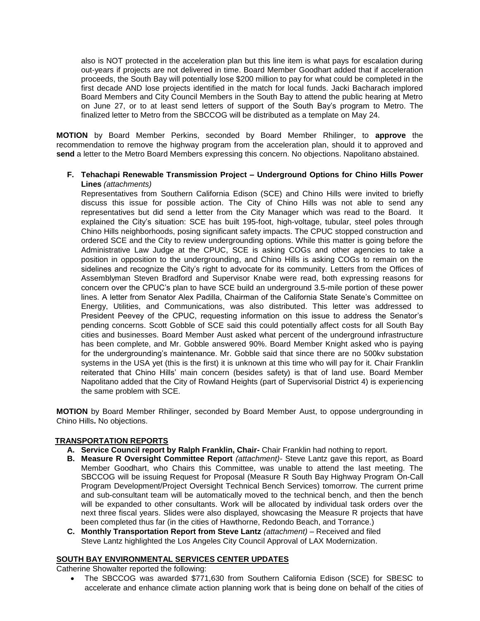also is NOT protected in the acceleration plan but this line item is what pays for escalation during out-years if projects are not delivered in time. Board Member Goodhart added that if acceleration proceeds, the South Bay will potentially lose \$200 million to pay for what could be completed in the first decade AND lose projects identified in the match for local funds. Jacki Bacharach implored Board Members and City Council Members in the South Bay to attend the public hearing at Metro on June 27, or to at least send letters of support of the South Bay's program to Metro. The finalized letter to Metro from the SBCCOG will be distributed as a template on May 24.

**MOTION** by Board Member Perkins, seconded by Board Member Rhilinger, to **approve** the recommendation to remove the highway program from the acceleration plan, should it to approved and **send** a letter to the Metro Board Members expressing this concern. No objections. Napolitano abstained.

## **F. Tehachapi Renewable Transmission Project – Underground Options for Chino Hills Power Lines** *(attachments)*

Representatives from Southern California Edison (SCE) and Chino Hills were invited to briefly discuss this issue for possible action. The City of Chino Hills was not able to send any representatives but did send a letter from the City Manager which was read to the Board. It explained the City's situation: SCE has built 195-foot, high-voltage, tubular, steel poles through Chino Hills neighborhoods, posing significant safety impacts. The CPUC stopped construction and ordered SCE and the City to review undergrounding options. While this matter is going before the Administrative Law Judge at the CPUC, SCE is asking COGs and other agencies to take a position in opposition to the undergrounding, and Chino Hills is asking COGs to remain on the sidelines and recognize the City's right to advocate for its community. Letters from the Offices of Assemblyman Steven Bradford and Supervisor Knabe were read, both expressing reasons for concern over the CPUC's plan to have SCE build an underground 3.5-mile portion of these power lines. A letter from Senator Alex Padilla, Chairman of the California State Senate's Committee on Energy, Utilities, and Communications, was also distributed. This letter was addressed to President Peevey of the CPUC, requesting information on this issue to address the Senator's pending concerns. Scott Gobble of SCE said this could potentially affect costs for all South Bay cities and businesses. Board Member Aust asked what percent of the underground infrastructure has been complete, and Mr. Gobble answered 90%. Board Member Knight asked who is paying for the undergrounding's maintenance. Mr. Gobble said that since there are no 500kv substation systems in the USA yet (this is the first) it is unknown at this time who will pay for it. Chair Franklin reiterated that Chino Hills' main concern (besides safety) is that of land use. Board Member Napolitano added that the City of Rowland Heights (part of Supervisorial District 4) is experiencing the same problem with SCE.

**MOTION** by Board Member Rhilinger, seconded by Board Member Aust, to oppose undergrounding in Chino Hills**.** No objections.

# **TRANSPORTATION REPORTS**

- **A. Service Council report by Ralph Franklin, Chair-** Chair Franklin had nothing to report.
- **B. Measure R Oversight Committee Report** *(attachment)-* Steve Lantz gave this report, as Board Member Goodhart, who Chairs this Committee, was unable to attend the last meeting. The SBCCOG will be issuing Request for Proposal (Measure R South Bay Highway Program On-Call Program Development/Project Oversight Technical Bench Services) tomorrow. The current prime and sub-consultant team will be automatically moved to the technical bench, and then the bench will be expanded to other consultants. Work will be allocated by individual task orders over the next three fiscal years. Slides were also displayed, showcasing the Measure R projects that have been completed thus far (in the cities of Hawthorne, Redondo Beach, and Torrance.)
- **C. Monthly Transportation Report from Steve Lantz** *(attachment)* Received and filed Steve Lantz highlighted the Los Angeles City Council Approval of LAX Modernization.

# **SOUTH BAY ENVIRONMENTAL SERVICES CENTER UPDATES**

Catherine Showalter reported the following:

 The SBCCOG was awarded \$771,630 from Southern California Edison (SCE) for SBESC to accelerate and enhance climate action planning work that is being done on behalf of the cities of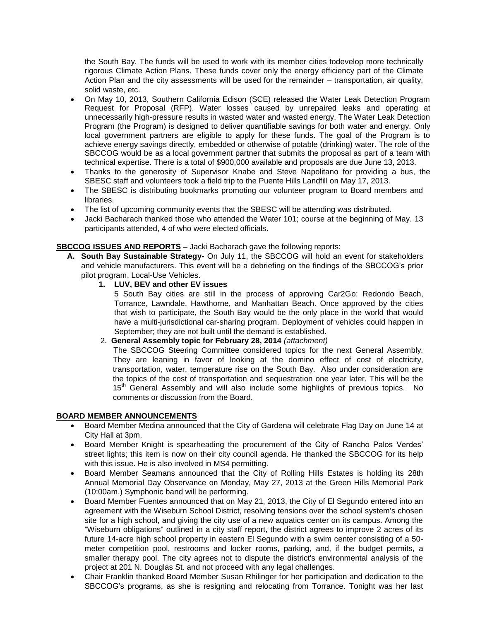the South Bay. The funds will be used to work with its member cities todevelop more technically rigorous Climate Action Plans. These funds cover only the energy efficiency part of the Climate Action Plan and the city assessments will be used for the remainder – transportation, air quality, solid waste, etc.

- On May 10, 2013, Southern California Edison (SCE) released the Water Leak Detection Program Request for Proposal (RFP). Water losses caused by unrepaired leaks and operating at unnecessarily high-pressure results in wasted water and wasted energy. The Water Leak Detection Program (the Program) is designed to deliver quantifiable savings for both water and energy. Only local government partners are eligible to apply for these funds. The goal of the Program is to achieve energy savings directly, embedded or otherwise of potable (drinking) water. The role of the SBCCOG would be as a local government partner that submits the proposal as part of a team with technical expertise. There is a total of \$900,000 available and proposals are due June 13, 2013.
- Thanks to the generosity of Supervisor Knabe and Steve Napolitano for providing a bus, the SBESC staff and volunteers took a field trip to the Puente Hills Landfill on May 17, 2013.
- The SBESC is distributing bookmarks promoting our volunteer program to Board members and libraries.
- The list of upcoming community events that the SBESC will be attending was distributed.
- Jacki Bacharach thanked those who attended the Water 101; course at the beginning of May. 13 participants attended, 4 of who were elected officials.

# **SBCCOG ISSUES AND REPORTS –** Jacki Bacharach gave the following reports:

- **A. South Bay Sustainable Strategy-** On July 11, the SBCCOG will hold an event for stakeholders and vehicle manufacturers. This event will be a debriefing on the findings of the SBCCOG's prior pilot program, Local-Use Vehicles.
	- **1. LUV, BEV and other EV issues**

5 South Bay cities are still in the process of approving Car2Go: Redondo Beach, Torrance, Lawndale, Hawthorne, and Manhattan Beach. Once approved by the cities that wish to participate, the South Bay would be the only place in the world that would have a multi-jurisdictional car-sharing program. Deployment of vehicles could happen in September; they are not built until the demand is established.

2. **General Assembly topic for February 28, 2014** *(attachment)* 

 The SBCCOG Steering Committee considered topics for the next General Assembly. They are leaning in favor of looking at the domino effect of cost of electricity, transportation, water, temperature rise on the South Bay. Also under consideration are the topics of the cost of transportation and sequestration one year later. This will be the 15<sup>th</sup> General Assembly and will also include some highlights of previous topics. No comments or discussion from the Board.

# **BOARD MEMBER ANNOUNCEMENTS**

- Board Member Medina announced that the City of Gardena will celebrate Flag Day on June 14 at City Hall at 3pm.
- Board Member Knight is spearheading the procurement of the City of Rancho Palos Verdes' street lights; this item is now on their city council agenda. He thanked the SBCCOG for its help with this issue. He is also involved in MS4 permitting.
- Board Member Seamans announced that the City of Rolling Hills Estates is holding its 28th Annual Memorial Day Observance on Monday, May 27, 2013 at the Green Hills Memorial Park (10:00am.) Symphonic band will be performing.
- Board Member Fuentes announced that on May 21, 2013, the City of El Segundo entered into an agreement with the Wiseburn School District, resolving tensions over the school system's chosen site for a high school, and giving the city use of a new aquatics center on its campus. Among the "Wiseburn obligations" outlined in a city staff report, the district agrees to improve 2 acres of its future 14-acre high school property in eastern El Segundo with a swim center consisting of a 50 meter competition pool, restrooms and locker rooms, parking, and, if the budget permits, a smaller therapy pool. The city agrees not to dispute the district's environmental analysis of the project at 201 N. Douglas St. and not proceed with any legal challenges.
- Chair Franklin thanked Board Member Susan Rhilinger for her participation and dedication to the SBCCOG's programs, as she is resigning and relocating from Torrance. Tonight was her last